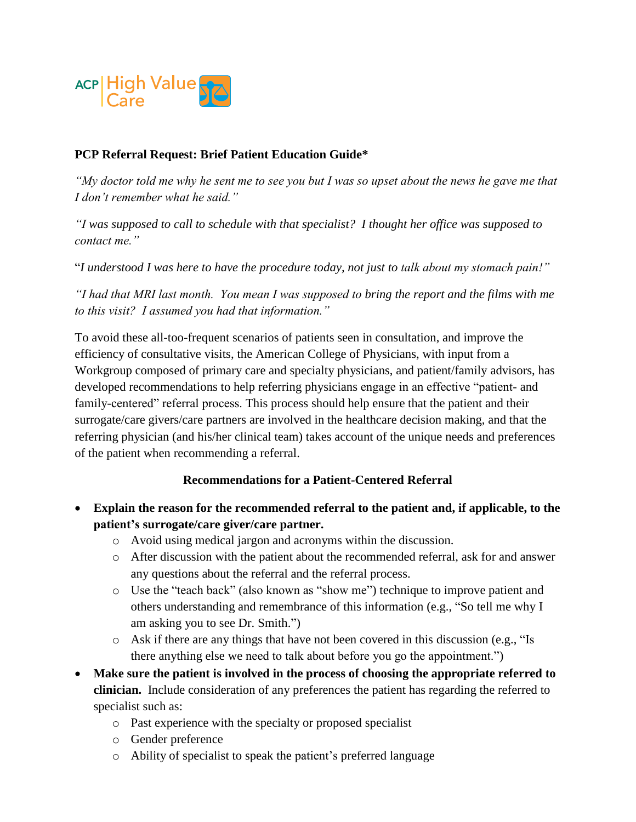

## **PCP Referral Request: Brief Patient Education Guide\***

*"My doctor told me why he sent me to see you but I was so upset about the news he gave me that I don't remember what he said."*

*"I was supposed to call to schedule with that specialist? I thought her office was supposed to contact me."*

"*I understood I was here to have the procedure today, not just to talk about my stomach pain!"*

*"I had that MRI last month. You mean I was supposed to bring the report and the films with me to this visit? I assumed you had that information."*

To avoid these all-too-frequent scenarios of patients seen in consultation, and improve the efficiency of consultative visits, the American College of Physicians, with input from a Workgroup composed of primary care and specialty physicians, and patient/family advisors, has developed recommendations to help referring physicians engage in an effective "patient- and family-centered" referral process. This process should help ensure that the patient and their surrogate/care givers/care partners are involved in the healthcare decision making, and that the referring physician (and his/her clinical team) takes account of the unique needs and preferences of the patient when recommending a referral.

## **Recommendations for a Patient-Centered Referral**

- **Explain the reason for the recommended referral to the patient and, if applicable, to the patient's surrogate/care giver/care partner.** 
	- o Avoid using medical jargon and acronyms within the discussion.
	- o After discussion with the patient about the recommended referral, ask for and answer any questions about the referral and the referral process.
	- o Use the "teach back" (also known as "show me") technique to improve patient and others understanding and remembrance of this information (e.g., "So tell me why I am asking you to see Dr. Smith.")
	- o Ask if there are any things that have not been covered in this discussion (e.g., "Is there anything else we need to talk about before you go the appointment.")
- **Make sure the patient is involved in the process of choosing the appropriate referred to clinician.** Include consideration of any preferences the patient has regarding the referred to specialist such as:
	- o Past experience with the specialty or proposed specialist
	- o Gender preference
	- o Ability of specialist to speak the patient's preferred language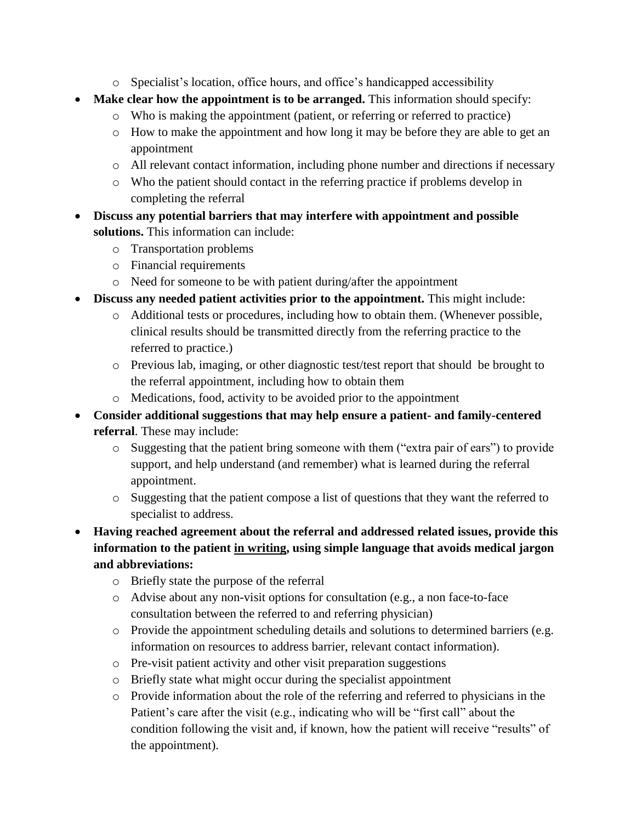- o Specialist's location, office hours, and office's handicapped accessibility
- **Make clear how the appointment is to be arranged.** This information should specify:
	- o Who is making the appointment (patient, or referring or referred to practice)
	- o How to make the appointment and how long it may be before they are able to get an appointment
	- o All relevant contact information, including phone number and directions if necessary
	- o Who the patient should contact in the referring practice if problems develop in completing the referral
- **Discuss any potential barriers that may interfere with appointment and possible solutions.** This information can include:
	- o Transportation problems
	- o Financial requirements
	- o Need for someone to be with patient during/after the appointment
- **Discuss any needed patient activities prior to the appointment.** This might include:
	- o Additional tests or procedures, including how to obtain them. (Whenever possible, clinical results should be transmitted directly from the referring practice to the referred to practice.)
	- o Previous lab, imaging, or other diagnostic test/test report that should be brought to the referral appointment, including how to obtain them
	- o Medications, food, activity to be avoided prior to the appointment
- **Consider additional suggestions that may help ensure a patient- and family-centered referral**. These may include:
	- o Suggesting that the patient bring someone with them ("extra pair of ears") to provide support, and help understand (and remember) what is learned during the referral appointment.
	- o Suggesting that the patient compose a list of questions that they want the referred to specialist to address.
- **Having reached agreement about the referral and addressed related issues, provide this information to the patient in writing, using simple language that avoids medical jargon and abbreviations:**
	- o Briefly state the purpose of the referral
	- o Advise about any non-visit options for consultation (e.g., a non face-to-face consultation between the referred to and referring physician)
	- o Provide the appointment scheduling details and solutions to determined barriers (e.g. information on resources to address barrier, relevant contact information).
	- o Pre-visit patient activity and other visit preparation suggestions
	- o Briefly state what might occur during the specialist appointment
	- o Provide information about the role of the referring and referred to physicians in the Patient's care after the visit (e.g., indicating who will be "first call" about the condition following the visit and, if known, how the patient will receive "results" of the appointment).